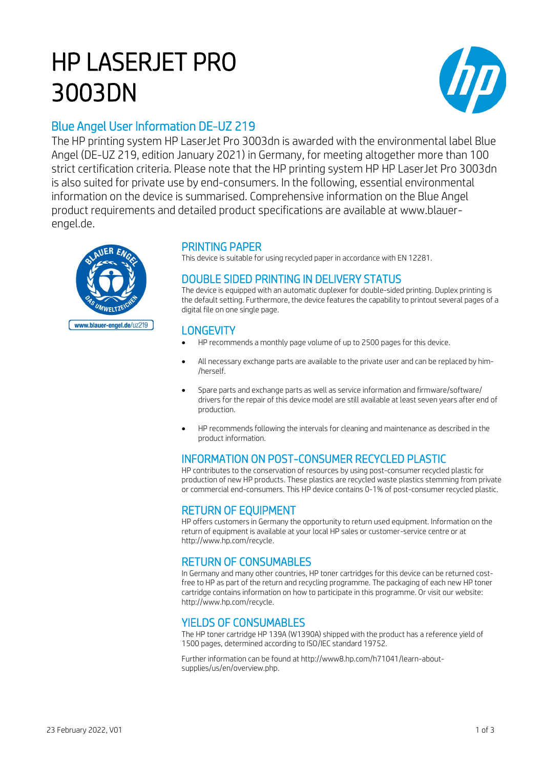# HP LASERJET PRO 3003DN



# Blue Angel User Information DE-UZ 219

The HP printing system HP LaserJet Pro 3003dn is awarded with the environmental label Blue Angel (DE-UZ 219, edition January 2021) in Germany, for meeting altogether more than 100 strict certification criteria. Please note that the HP printing system HP HP LaserJet Pro 3003dn is also suited for private use by end-consumers. In the following, essential environmental information on the device is summarised. Comprehensive information on the Blue Angel product requirements and detailed product specifications are available at www.blauerengel.de.



# PRINTING PAPER

This device is suitable for using recycled paper in accordance with EN 12281.

# DOUBLE SIDED PRINTING IN DELIVERY STATUS

The device is equipped with an automatic duplexer for double-sided printing. Duplex printing is the default setting. Furthermore, the device features the capability to printout several pages of a digital file on one single page.

## **LONGEVITY**

- HP recommends a monthly page volume of up to 2500 pages for this device.
- All necessary exchange parts are available to the private user and can be replaced by him- /herself.
- Spare parts and exchange parts as well as service information and firmware/software/ drivers for the repair of this device model are still available at least seven years after end of production.
- HP recommends following the intervals for cleaning and maintenance as described in the product information.

# INFORMATION ON POST-CONSUMER RECYCLED PLASTIC

HP contributes to the conservation of resources by using post-consumer recycled plastic for production of new HP products. These plastics are recycled waste plastics stemming from private or commercial end-consumers. This HP device contains 0-1% of post-consumer recycled plastic.

### RETURN OF EQUIPMENT

HP offers customers in Germany the opportunity to return used equipment. Information on the return of equipment is available at your local HP sales or customer-service centre or at http://www.hp.com/recycle.

# RETURN OF CONSUMABLES

In Germany and many other countries, HP toner cartridges for this device can be returned costfree to HP as part of the return and recycling programme. The packaging of each new HP toner cartridge contains information on how to participate in this programme. Or visit our website: http://www.hp.com/recycle.

## YIELDS OF CONSUMABLES

The HP toner cartridge HP 139A (W1390A) shipped with the product has a reference yield of 1500 pages, determined according to ISO/IEC standard 19752.

Further information can be found at http://www8.hp.com/h71041/learn-aboutsupplies/us/en/overview.php.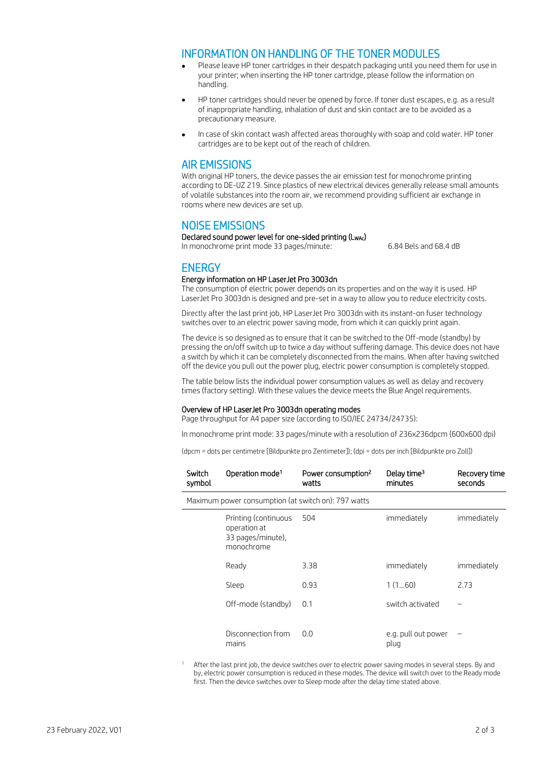#### INFORMATION ON HANDLING OF THE TONER MODULES

- Please leave HP toner cartridges in their despatch packaging until you need them for use in your printer; when inserting the HP toner cartridge, please follow the information on handling.
- HP toner cartridges should never be opened by force. If toner dust escapes, e.g. as a result of inappropriate handling, inhalation of dust and skin contact are to be avoided as a precautionary measure.
- In case of skin contact wash affected areas thoroughly with soap and cold water. HP toner cartridges are to be kept out of the reach of children.

#### AIR EMISSIONS

With original HP toners, the device passes the air emission test for monochrome printing according to DE-UZ 219. Since plastics of new electrical devices generally release small amounts of volatile substances into the room air, we recommend providing sufficient air exchange in rooms where new devices are set up.

#### NOISE EMISSIONS

Declared sound power level for one-sided printing (LwAc) In monochrome print mode 33 pages/minute: 6.84 Bels and 68.4 dB

### **ENERGY**

#### Energy information on HP LaserJet Pro 3003dn

The consumption of electric power depends on its properties and on the way it is used. HP LaserJet Pro 3003dn is designed and pre-set in a way to allow you to reduce electricity costs.

Directly after the last print job, HP LaserJet Pro 3003dn with its instant-on fuser technology switches over to an electric power saving mode, from which it can quickly print again.

The device is so designed as to ensure that it can be switched to the Off-mode (standby) by pressing the on/off switch up to twice a day without suffering damage. This device does not have a switch by which it can be completely disconnected from the mains. When after having switched off the device you pull out the power plug, electric power consumption is completely stopped.

The table below lists the individual power consumption values as well as delay and recovery times (factory setting). With these values the device meets the Blue Angel requirements.

#### Overview of HP LaserJet Pro 3003dn operating modes

Page throughput for A4 paper size (according to ISO/IEC 24734/24735):

In monochrome print mode: 33 pages/minute with a resolution of 236x236dpcm (600x600 dpi)

(dpcm = dots per centimetre [Bildpunkte pro Zentimeter]); (dpi = dots per inch [Bildpunkte pro Zoll])

| Switch<br>symbol                                    | Operation mode <sup>1</sup>                                             | Power consumption <sup>2</sup><br>watts | Delay time <sup>3</sup><br>minutes | Recovery time<br>seconds |
|-----------------------------------------------------|-------------------------------------------------------------------------|-----------------------------------------|------------------------------------|--------------------------|
| Maximum power consumption (at switch on): 797 watts |                                                                         |                                         |                                    |                          |
|                                                     | Printing (continuous<br>operation at<br>33 pages/minute),<br>monochrome | 504                                     | immediately                        | immediately              |
|                                                     | Ready                                                                   | 3.38                                    | immediately                        | immediately              |
|                                                     | Sleep                                                                   | 0.93                                    | 1(160)                             | 2.73                     |
|                                                     | Off-mode (standby)                                                      | 0.1                                     | switch activated                   |                          |
|                                                     | Disconnection from<br>mains                                             | 0.0                                     | e.g. pull out power<br>plug        |                          |

After the last print job, the device switches over to electric power saving modes in several steps. By and by, electric power consumption is reduced in these modes. The device will switch over to the Ready mode first. Then the device switches over to Sleep mode after the delay time stated above.